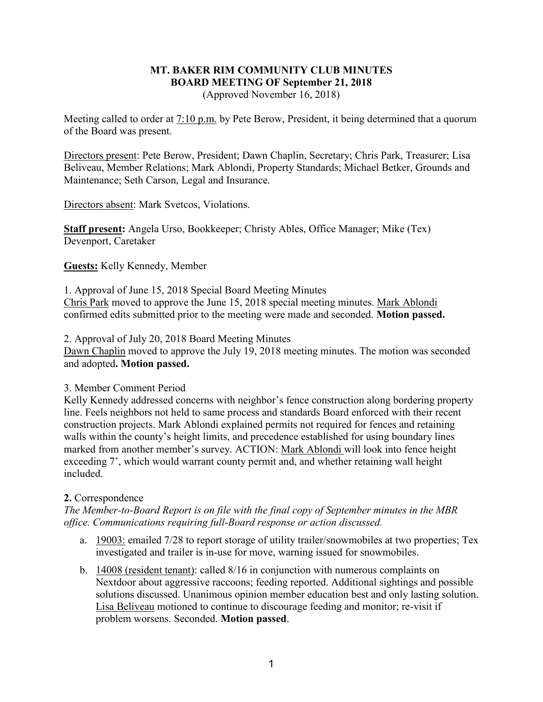## **MT. BAKER RIM COMMUNITY CLUB MINUTES BOARD MEETING OF September 21, 2018** (Approved November 16, 2018)

Meeting called to order at 7:10 p.m. by Pete Berow, President, it being determined that a quorum of the Board was present.

Directors present: Pete Berow, President; Dawn Chaplin, Secretary; Chris Park, Treasurer; Lisa Beliveau, Member Relations; Mark Ablondi, Property Standards; Michael Betker, Grounds and Maintenance; Seth Carson, Legal and Insurance.

Directors absent: Mark Svetcos, Violations.

**Staff present:** Angela Urso, Bookkeeper; Christy Ables, Office Manager; Mike (Tex) Devenport, Caretaker

**Guests:** Kelly Kennedy, Member

1. Approval of June 15, 2018 Special Board Meeting Minutes Chris Park moved to approve the June 15, 2018 special meeting minutes. Mark Ablondi confirmed edits submitted prior to the meeting were made and seconded. **Motion passed.**

2. Approval of July 20, 2018 Board Meeting Minutes

Dawn Chaplin moved to approve the July 19, 2018 meeting minutes. The motion was seconded and adopted**. Motion passed.**

## 3. Member Comment Period

Kelly Kennedy addressed concerns with neighbor's fence construction along bordering property line. Feels neighbors not held to same process and standards Board enforced with their recent construction projects. Mark Ablondi explained permits not required for fences and retaining walls within the county's height limits, and precedence established for using boundary lines marked from another member's survey. ACTION: Mark Ablondi will look into fence height exceeding 7', which would warrant county permit and, and whether retaining wall height included.

## **2.** Correspondence

*The Member-to-Board Report is on file with the final copy of September minutes in the MBR office. Communications requiring full-Board response or action discussed.*

- a. 19003: emailed 7/28 to report storage of utility trailer/snowmobiles at two properties; Tex investigated and trailer is in-use for move, warning issued for snowmobiles.
- b. 14008 (resident tenant): called 8/16 in conjunction with numerous complaints on Nextdoor about aggressive raccoons; feeding reported. Additional sightings and possible solutions discussed. Unanimous opinion member education best and only lasting solution. Lisa Beliveau motioned to continue to discourage feeding and monitor; re-visit if problem worsens. Seconded. **Motion passed**.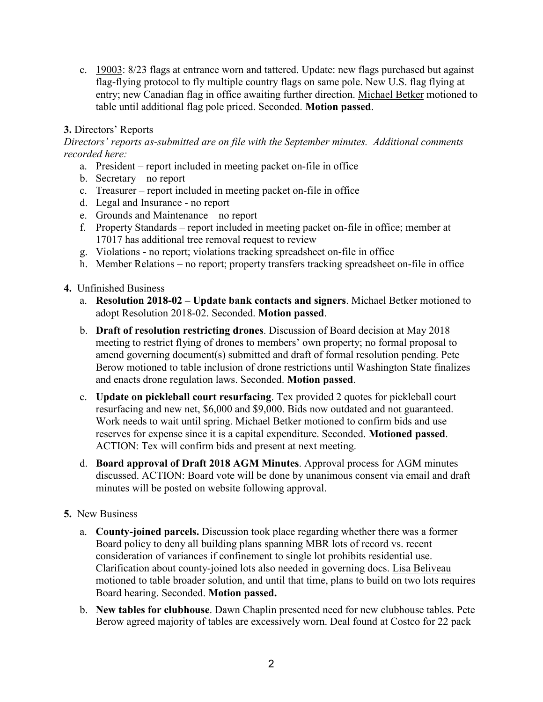c. 19003: 8/23 flags at entrance worn and tattered. Update: new flags purchased but against flag-flying protocol to fly multiple country flags on same pole. New U.S. flag flying at entry; new Canadian flag in office awaiting further direction. Michael Betker motioned to table until additional flag pole priced. Seconded. **Motion passed**.

## **3.** Directors' Reports

*Directors' reports as-submitted are on file with the September minutes. Additional comments recorded here:*

- a. President report included in meeting packet on-file in office
- b. Secretary no report
- c. Treasurer report included in meeting packet on-file in office
- d. Legal and Insurance no report
- e. Grounds and Maintenance no report
- f. Property Standards report included in meeting packet on-file in office; member at 17017 has additional tree removal request to review
- g. Violations no report; violations tracking spreadsheet on-file in office
- h. Member Relations no report; property transfers tracking spreadsheet on-file in office
- **4.** Unfinished Business
	- a. **Resolution 2018-02 – Update bank contacts and signers**. Michael Betker motioned to adopt Resolution 2018-02. Seconded. **Motion passed**.
	- b. **Draft of resolution restricting drones**. Discussion of Board decision at May 2018 meeting to restrict flying of drones to members' own property; no formal proposal to amend governing document(s) submitted and draft of formal resolution pending. Pete Berow motioned to table inclusion of drone restrictions until Washington State finalizes and enacts drone regulation laws. Seconded. **Motion passed**.
	- c. **Update on pickleball court resurfacing**. Tex provided 2 quotes for pickleball court resurfacing and new net, \$6,000 and \$9,000. Bids now outdated and not guaranteed. Work needs to wait until spring. Michael Betker motioned to confirm bids and use reserves for expense since it is a capital expenditure. Seconded. **Motioned passed**. ACTION: Tex will confirm bids and present at next meeting.
	- d. **Board approval of Draft 2018 AGM Minutes**. Approval process for AGM minutes discussed. ACTION: Board vote will be done by unanimous consent via email and draft minutes will be posted on website following approval.
- **5.** New Business
	- a. **County-joined parcels.** Discussion took place regarding whether there was a former Board policy to deny all building plans spanning MBR lots of record vs. recent consideration of variances if confinement to single lot prohibits residential use. Clarification about county-joined lots also needed in governing docs. Lisa Beliveau motioned to table broader solution, and until that time, plans to build on two lots requires Board hearing. Seconded. **Motion passed.**
	- b. **New tables for clubhouse**. Dawn Chaplin presented need for new clubhouse tables. Pete Berow agreed majority of tables are excessively worn. Deal found at Costco for 22 pack